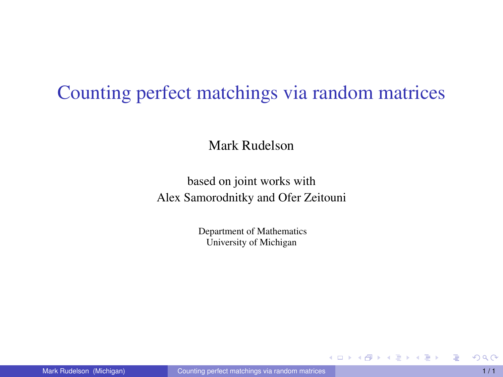### Counting perfect matchings via random matrices

Mark Rudelson

based on joint works with Alex Samorodnitky and Ofer Zeitouni

> Department of Mathematics University of Michigan

<span id="page-0-0"></span>イロト イ母 トイラ トイラトー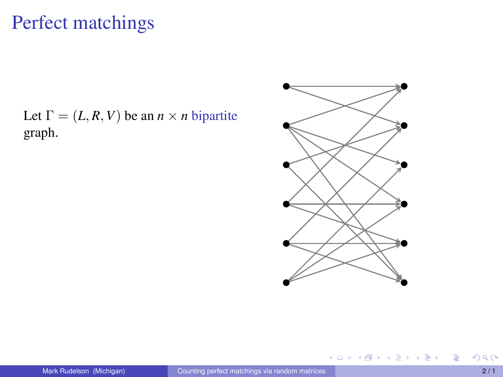Let  $\Gamma = (L, R, V)$  be an  $n \times n$  bipartite graph.



メロトメ 倒 トメ ミトメ ミト

E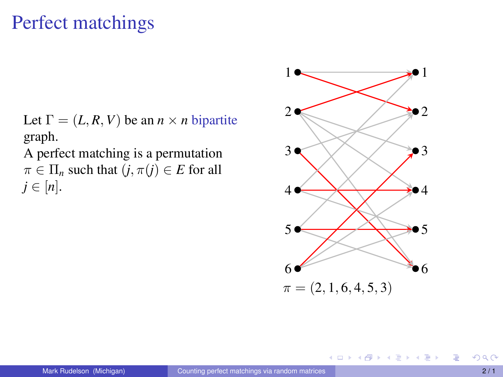Let  $\Gamma = (L, R, V)$  be an  $n \times n$  bipartite graph.

A perfect matching is a permutation  $\pi \in \Pi_n$  such that  $(j, \pi(j) \in E$  for all  $j \in [n]$ .



メロトメ 倒 トメ ミトメ ミト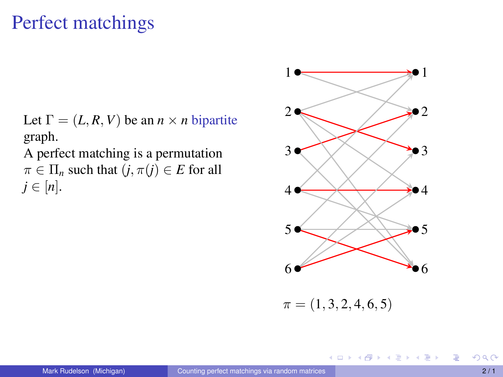Let  $\Gamma = (L, R, V)$  be an  $n \times n$  bipartite graph.

A perfect matching is a permutation  $\pi \in \Pi_n$  such that  $(j, \pi(j) \in E$  for all  $j \in [n]$ .



イロト イタト イミト イミト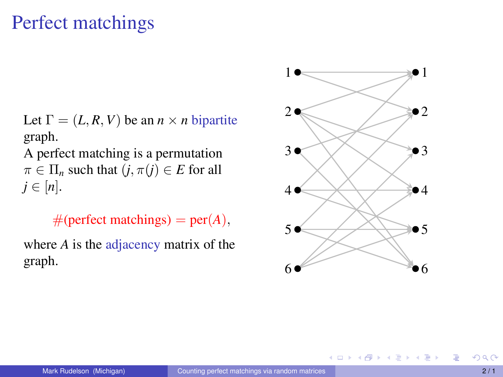Let  $\Gamma = (L, R, V)$  be an  $n \times n$  bipartite graph.

A perfect matching is a permutation  $\pi \in \Pi_n$  such that  $(j, \pi(j) \in E$  for all  $j \in [n]$ .

 $#$ (perfect matchings) = per(*A*),

where *A* is the adjacency matrix of the graph.



イロト イ母 トイラ トイラト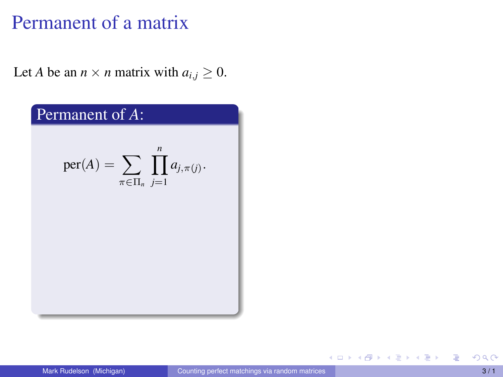Let *A* be an  $n \times n$  matrix with  $a_{i,j} \geq 0$ .



E

メロトメ 御 トメ 君 トメ 君 トー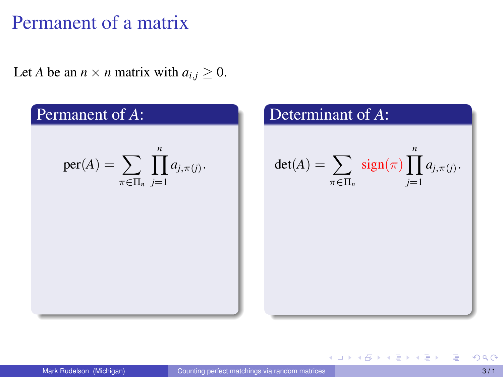Let *A* be an  $n \times n$  matrix with  $a_{i,j} \geq 0$ .



イロト (御) (道) (道)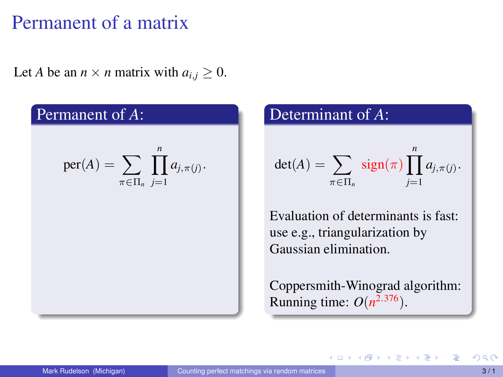Let *A* be an  $n \times n$  matrix with  $a_{i,j} \geq 0$ .

Permanent of *A*:

\n
$$
\text{per}(A) = \sum_{\pi \in \Pi_n} \prod_{j=1}^n a_{j,\pi(j)}.
$$

#### Determinant of *A*:

$$
\det(A) = \sum_{\pi \in \Pi_n} sign(\pi) \prod_{j=1}^n a_{j,\pi(j)}.
$$

Evaluation of determinants is fast: use e.g., triangularization by Gaussian elimination.

Coppersmith-Winograd algorithm: Running time:  $O(n^{2.376})$ .

イロト イ母ト イヨト イヨト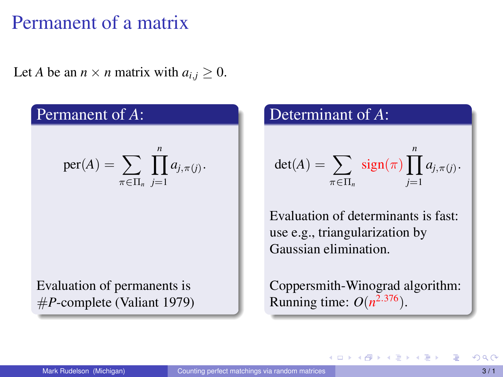Let *A* be an  $n \times n$  matrix with  $a_{i,j} \geq 0$ .

#### Permanent of *A*:

$$
\mathrm{per}(A) = \sum_{\pi \in \Pi_n} \prod_{j=1}^n a_{j,\pi(j)}.
$$

Evaluation of permanents is #*P*-complete (Valiant 1979)

#### Determinant of *A*:

$$
\det(A) = \sum_{\pi \in \Pi_n} sign(\pi) \prod_{j=1}^n a_{j,\pi(j)}.
$$

Evaluation of determinants is fast: use e.g., triangularization by Gaussian elimination.

Coppersmith-Winograd algorithm: Running time:  $O(n^{2.376})$ .

イロト イ母ト イヨト イヨト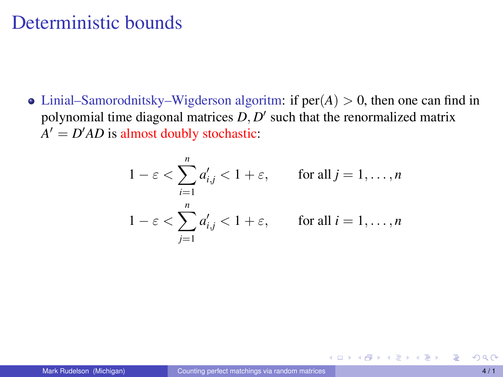• Linial–Samorodnitsky–Wigderson algoritm: if  $per(A) > 0$ , then one can find in polynomial time diagonal matrices  $D, D'$  such that the renormalized matrix  $A' = D'AD$  is almost doubly stochastic:

$$
1 - \varepsilon < \sum_{i=1}^{n} a'_{i,j} < 1 + \varepsilon, \qquad \text{for all } j = 1, \dots, n
$$
\n
$$
1 - \varepsilon < \sum_{j=1}^{n} a'_{i,j} < 1 + \varepsilon, \qquad \text{for all } i = 1, \dots, n
$$

イロト イ母 トイラ トイラト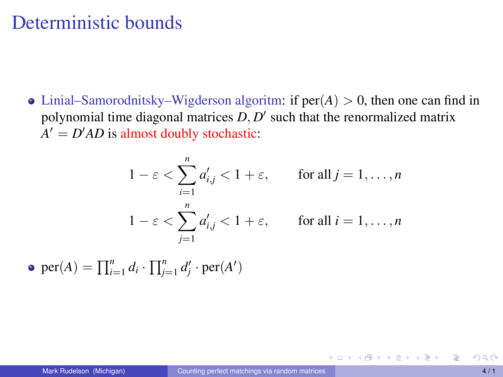• Linial–Samorodnitsky–Wigderson algoritm: if  $per(A) > 0$ , then one can find in polynomial time diagonal matrices  $D, D'$  such that the renormalized matrix  $A' = D'AD$  is almost doubly stochastic:

$$
1 - \varepsilon < \sum_{i=1}^{n} a'_{i,j} < 1 + \varepsilon, \qquad \text{for all } j = 1, \dots, n
$$
\n
$$
1 - \varepsilon < \sum_{j=1}^{n} a'_{i,j} < 1 + \varepsilon, \qquad \text{for all } i = 1, \dots, n
$$

 $per(A) = \prod_{i=1}^{n} d_i \cdot \prod_{j=1}^{n} d'_j \cdot per(A')$ 

イロト イ母 トイラ トイラトー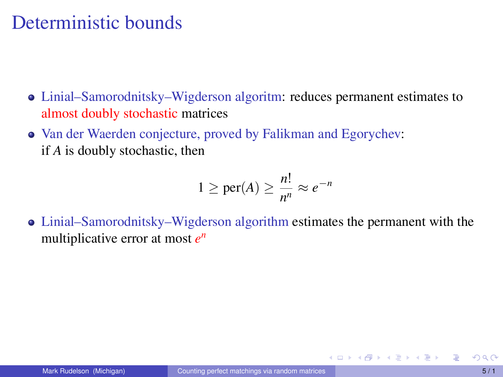- Linial–Samorodnitsky–Wigderson algoritm: reduces permanent estimates to almost doubly stochastic matrices
- Van der Waerden conjecture, proved by Falikman and Egorychev: if *A* is doubly stochastic, then

$$
1 \ge \text{per}(A) \ge \frac{n!}{n^n} \approx e^{-n}
$$

Linial–Samorodnitsky–Wigderson algorithm estimates the permanent with the multiplicative error at most *e n*

イロト イ母 トイヨ トイヨ トー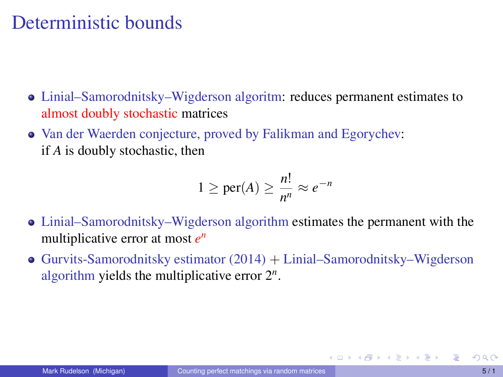- Linial–Samorodnitsky–Wigderson algoritm: reduces permanent estimates to almost doubly stochastic matrices
- Van der Waerden conjecture, proved by Falikman and Egorychev: if *A* is doubly stochastic, then

$$
1 \ge \text{per}(A) \ge \frac{n!}{n^n} \approx e^{-n}
$$

- Linial–Samorodnitsky–Wigderson algorithm estimates the permanent with the multiplicative error at most *e n*
- Gurvits-Samorodnitsky estimator  $(2014) +$  Linial–Samorodnitsky–Wigderson algorithm yields the multiplicative error 2*<sup>n</sup>* .

メロトメ 御 トメ 君 トメ 君 トー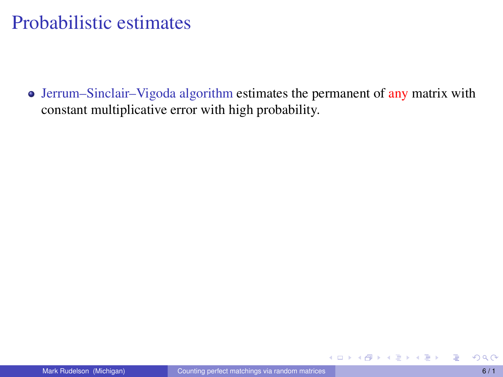• Jerrum–Sinclair–Vigoda algorithm estimates the permanent of any matrix with constant multiplicative error with high probability.

メロトメ 伊 トメ ミトメ ミトー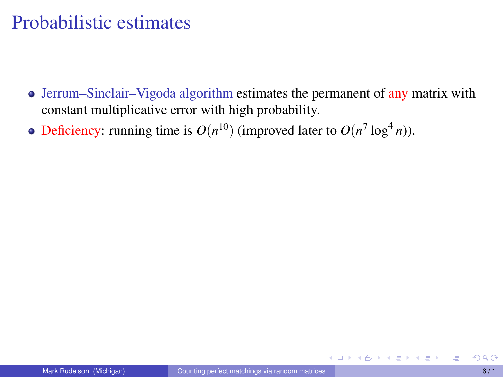- Jerrum–Sinclair–Vigoda algorithm estimates the permanent of any matrix with constant multiplicative error with high probability.
- Deficiency: running time is  $O(n^{10})$  (improved later to  $O(n^7 \log^4 n)$ ).

イロトス 御 トス ヨ トス ヨ トー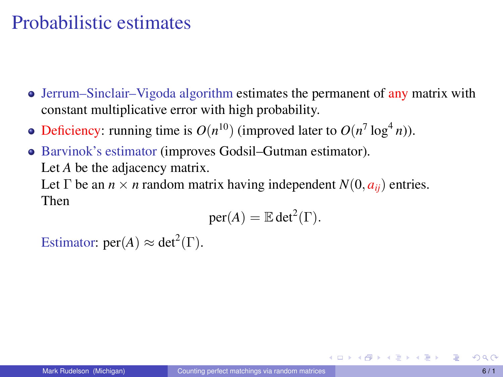- Jerrum–Sinclair–Vigoda algorithm estimates the permanent of any matrix with constant multiplicative error with high probability.
- Deficiency: running time is  $O(n^{10})$  (improved later to  $O(n^7 \log^4 n)$ ).
- Barvinok's estimator (improves Godsil–Gutman estimator). Let *A* be the adjacency matrix.

Let  $\Gamma$  be an  $n \times n$  random matrix having independent  $N(0, a_{ii})$  entries. Then

$$
per(A) = \mathbb{E} det^2(\Gamma).
$$

Estimator:  $\text{per}(A) \approx \text{det}^2(\Gamma)$ .

イロトス 倒 トス きょうぼう 一番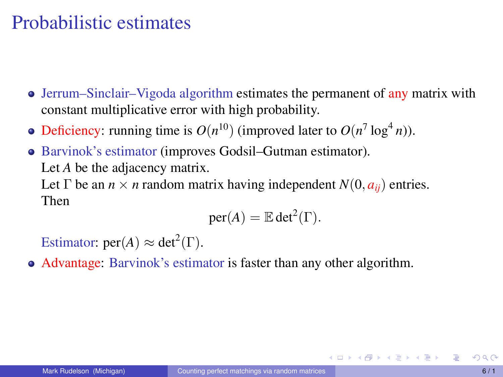- Jerrum–Sinclair–Vigoda algorithm estimates the permanent of any matrix with constant multiplicative error with high probability.
- Deficiency: running time is  $O(n^{10})$  (improved later to  $O(n^7 \log^4 n)$ ).
- Barvinok's estimator (improves Godsil–Gutman estimator). Let *A* be the adjacency matrix.

Let  $\Gamma$  be an  $n \times n$  random matrix having independent  $N(0, a_{ii})$  entries. Then

$$
per(A) = \mathbb{E} det^2(\Gamma).
$$

Estimator:  $\text{per}(A) \approx \text{det}^2(\Gamma)$ .

Advantage: Barvinok's estimator is faster than any other algorithm.

イロメイタメイミメイミメーミ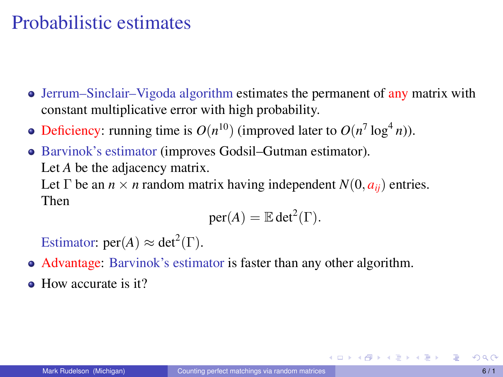- Jerrum–Sinclair–Vigoda algorithm estimates the permanent of any matrix with constant multiplicative error with high probability.
- Deficiency: running time is  $O(n^{10})$  (improved later to  $O(n^7 \log^4 n)$ ).
- Barvinok's estimator (improves Godsil–Gutman estimator). Let *A* be the adjacency matrix.

Let  $\Gamma$  be an  $n \times n$  random matrix having independent  $N(0, a_{ii})$  entries. Then

$$
per(A) = \mathbb{E} det^2(\Gamma).
$$

Estimator:  $\text{per}(A) \approx \text{det}^2(\Gamma)$ .

- Advantage: Barvinok's estimator is faster than any other algorithm.
- How accurate is it?

イロトメ 倒 トメ きょくきょうき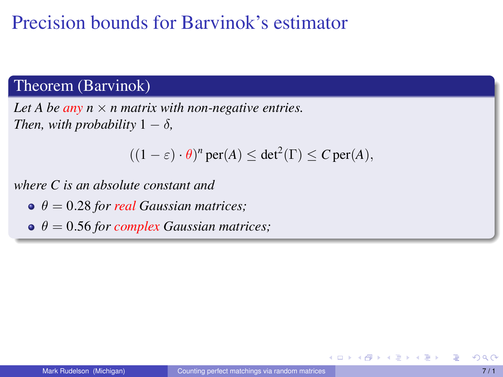#### Theorem (Barvinok)

*Let A be any*  $n \times n$  *matrix with non-negative entries. Then, with probability*  $1 - \delta$ *,* 

$$
((1 - \varepsilon) \cdot \theta)^n \operatorname{per}(A) \le \det^2(\Gamma) \le C \operatorname{per}(A),
$$

*where C is an absolute constant and*

- $\theta = 0.28$  *for real Gaussian matrices:*
- $\theta = 0.56$  *for complex Gaussian matrices;*

4 D.K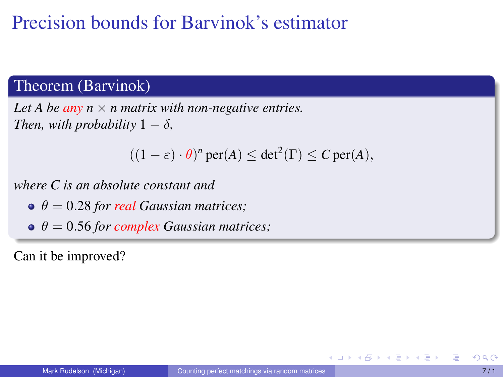#### Theorem (Barvinok)

*Let A be any*  $n \times n$  *matrix with non-negative entries. Then, with probability*  $1 - \delta$ *,* 

$$
((1 - \varepsilon) \cdot \theta)^n \operatorname{per}(A) \le \det^2(\Gamma) \le C \operatorname{per}(A),
$$

*where C is an absolute constant and*

- $\theta = 0.28$  *for real Gaussian matrices:*
- $\theta = 0.56$  *for complex Gaussian matrices;*

Can it be improved?

4 0 8 4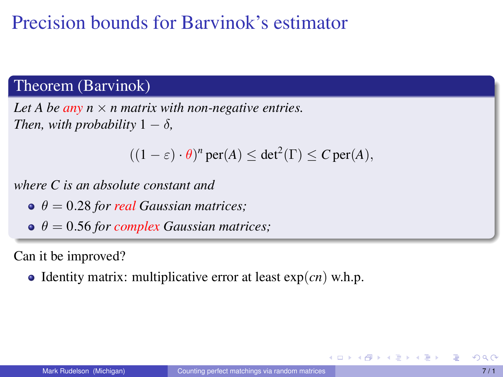#### Theorem (Barvinok)

*Let A be any*  $n \times n$  *matrix with non-negative entries. Then, with probability*  $1 - \delta$ *,* 

$$
((1 - \varepsilon) \cdot \theta)^n \operatorname{per}(A) \le \det^2(\Gamma) \le C \operatorname{per}(A),
$$

*where C is an absolute constant and*

- $\theta = 0.28$  *for real Gaussian matrices:*
- $\theta = 0.56$  *for complex Gaussian matrices;*

Can it be improved?

 $\bullet$  Identity matrix: multiplicative error at least  $\exp(cn)$  w.h.p.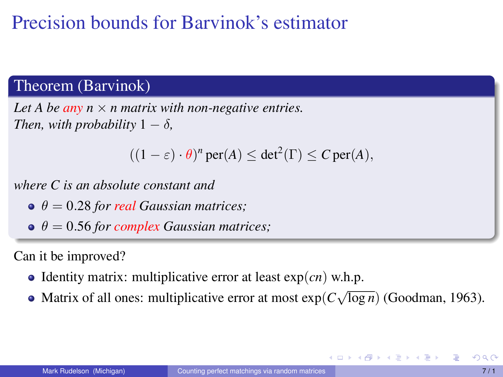#### Theorem (Barvinok)

*Let A be any*  $n \times n$  *matrix with non-negative entries. Then, with probability*  $1 - \delta$ *,* 

$$
((1 - \varepsilon) \cdot \theta)^n \operatorname{per}(A) \le \det^2(\Gamma) \le C \operatorname{per}(A),
$$

*where C is an absolute constant and*

- $\theta = 0.28$  *for real Gaussian matrices:*
- $\theta = 0.56$  *for complex Gaussian matrices;*

Can it be improved?

- $\bullet$  Identity matrix: multiplicative error at least  $\exp(cn)$  w.h.p.
- Matrix of all ones: multiplicative error at most exp(*C* √ log *n*) (Goodman, 1963).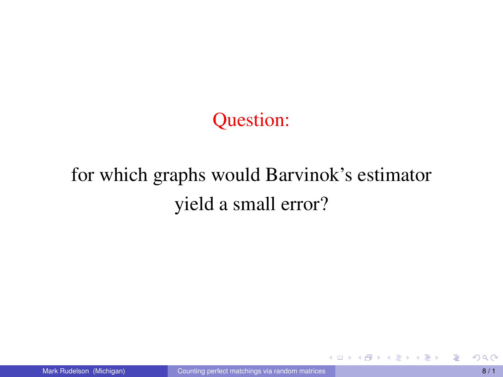Question:

# for which graphs would Barvinok's estimator yield a small error?

イロト イ母 トイラ トイラト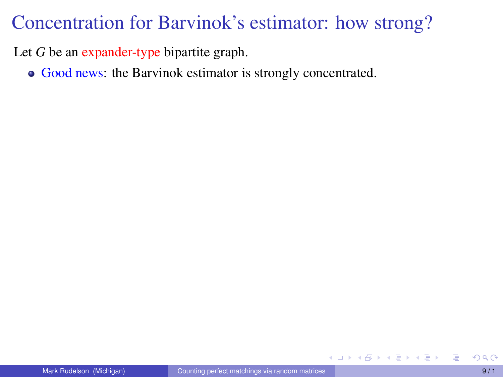Let *G* be an expander-type bipartite graph.

Good news: the Barvinok estimator is strongly concentrated.

イロト イ母ト イヨト イヨト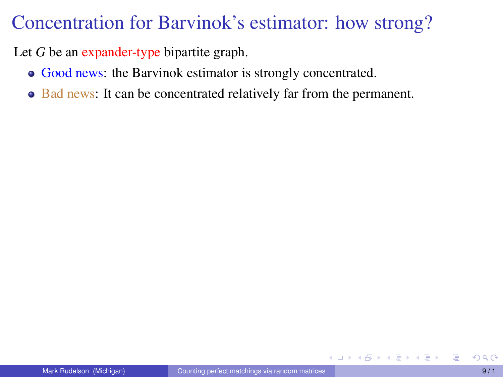Let *G* be an expander-type bipartite graph.

- Good news: the Barvinok estimator is strongly concentrated.
- Bad news: It can be concentrated relatively far from the permanent.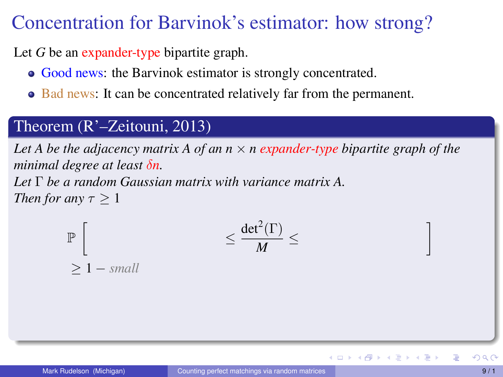Let *G* be an expander-type bipartite graph.

- Good news: the Barvinok estimator is strongly concentrated.
- Bad news: It can be concentrated relatively far from the permanent.

#### Theorem (R'–Zeitouni, 2013)

≥ 1 − *small*

*Let A be the adjacency matrix A of an n* × *n expander-type bipartite graph of the minimal degree at least* δ*n. Let* Γ *be a random Gaussian matrix with variance matrix A. Then for any*  $\tau > 1$ 

$$
\leq \frac{{\rm det}^2(\Gamma)}{M}\leq
$$

P  $\sqrt{ }$  1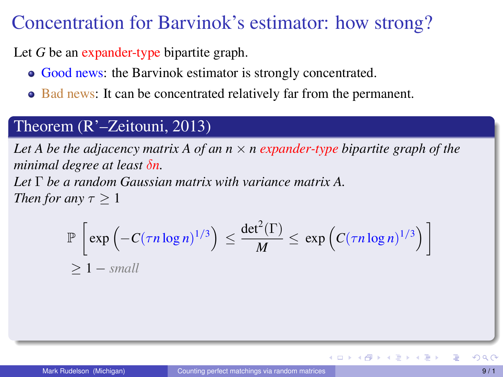Let *G* be an expander-type bipartite graph.

- Good news: the Barvinok estimator is strongly concentrated.
- Bad news: It can be concentrated relatively far from the permanent.

#### Theorem (R'–Zeitouni, 2013)

*Let A be the adjacency matrix A of an n* × *n expander-type bipartite graph of the minimal degree at least* δ*n. Let* Γ *be a random Gaussian matrix with variance matrix A. Then for any*  $\tau > 1$ 

$$
\mathbb{P}\left[\exp\left(-C(\tau n\log n)^{1/3}\right) \leq \frac{\det^2(\Gamma)}{M} \leq \exp\left(C(\tau n\log n)^{1/3}\right)\right]
$$
  
\$\geq 1 - small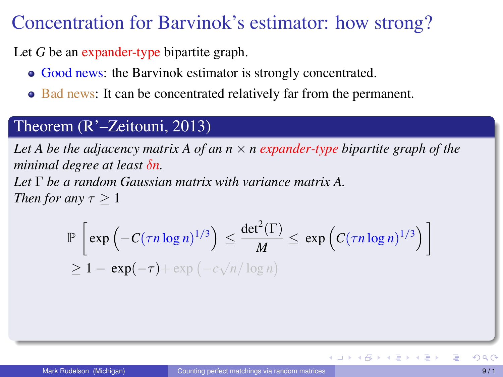Let *G* be an expander-type bipartite graph.

- Good news: the Barvinok estimator is strongly concentrated.
- Bad news: It can be concentrated relatively far from the permanent.

#### Theorem (R'–Zeitouni, 2013)

*Let A be the adjacency matrix A of an n* × *n expander-type bipartite graph of the minimal degree at least* δ*n. Let* Γ *be a random Gaussian matrix with variance matrix A.*

*Then for any*  $\tau > 1$ 

$$
\mathbb{P}\left[\exp\left(-C(\tau n\log n)^{1/3}\right) \leq \frac{\det^2(\Gamma)}{M} \leq \exp\left(C(\tau n\log n)^{1/3}\right)\right]
$$
  
\n
$$
\geq 1 - \exp(-\tau) + \exp(-c\sqrt{n}/\log n)
$$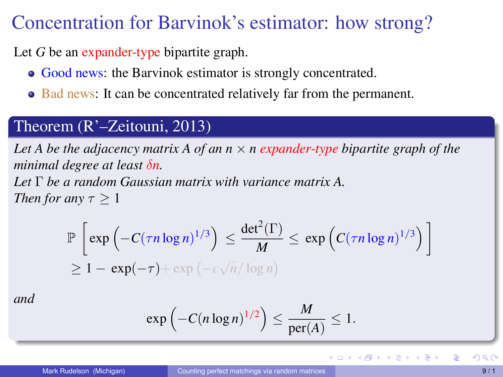Let *G* be an expander-type bipartite graph.

- Good news: the Barvinok estimator is strongly concentrated.
- Bad news: It can be concentrated relatively far from the permanent.

#### Theorem (R'–Zeitouni, 2013)

*Let A be the adjacency matrix A of an n* × *n expander-type bipartite graph of the minimal degree at least* δ*n. Let* Γ *be a random Gaussian matrix with variance matrix A.*

*Then for any*  $\tau > 1$ 

$$
\mathbb{P}\left[\exp\left(-C(\tau n\log n)^{1/3}\right) \leq \frac{\det^2(\Gamma)}{M} \leq \exp\left(C(\tau n\log n)^{1/3}\right)\right]
$$
  
\n
$$
\geq 1 - \exp(-\tau) + \exp(-c\sqrt{n}/\log n)
$$

*and*

$$
\exp\left(-C(n\log n)^{1/2}\right) \leq \frac{M}{\text{per}(A)} \leq 1.
$$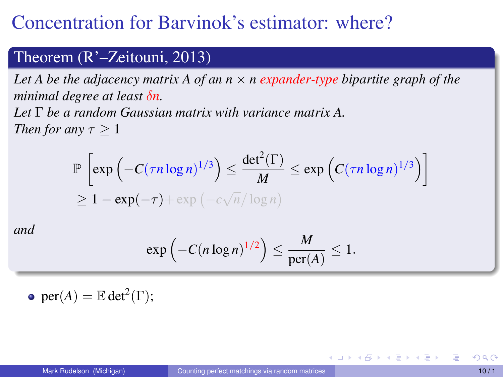# Concentration for Barvinok's estimator: where?

#### Theorem (R'–Zeitouni, 2013)

*Let A be the adjacency matrix A of an n* × *n expander-type bipartite graph of the minimal degree at least* δ*n.*

*Let* Γ *be a random Gaussian matrix with variance matrix A. Then for any*  $\tau > 1$ 

$$
\mathbb{P}\left[\exp\left(-C(\tau n\log n)^{1/3}\right) \leq \frac{\det^2(\Gamma)}{M} \leq \exp\left(C(\tau n\log n)^{1/3}\right)\right]
$$
  
\n
$$
\geq 1 - \exp(-\tau) + \exp\left(-c\sqrt{n}/\log n\right)
$$

*and*

$$
\exp\left(-C(n\log n)^{1/2}\right) \leq \frac{M}{\text{per}(A)} \leq 1.
$$

 $per(A) = \mathbb{E} det^2(\Gamma);$ 

イロト イ母 トイヨ トイヨト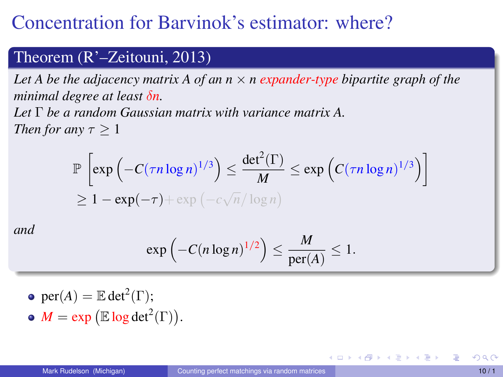# Concentration for Barvinok's estimator: where?

#### Theorem (R'–Zeitouni, 2013)

*Let A be the adjacency matrix A of an n* × *n expander-type bipartite graph of the minimal degree at least* δ*n.*

*Let* Γ *be a random Gaussian matrix with variance matrix A. Then for any*  $\tau > 1$ 

$$
\mathbb{P}\left[\exp\left(-C(\tau n\log n)^{1/3}\right) \leq \frac{\det^2(\Gamma)}{M} \leq \exp\left(C(\tau n\log n)^{1/3}\right)\right]
$$
  
\n
$$
\geq 1 - \exp(-\tau) + \exp\left(-c\sqrt{n}/\log n\right)
$$

*and*

$$
\exp\left(-C(n\log n)^{1/2}\right) \leq \frac{M}{\text{per}(A)} \leq 1.
$$

\n- per(A) = 
$$
\mathbb{E} \det^2(\Gamma)
$$
;
\n- $M = \exp(\mathbb{E} \log \det^2(\Gamma))$ .
\n

イロト イ母 トイヨ トイヨ トー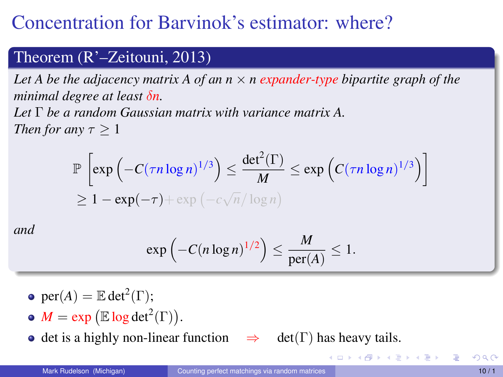# Concentration for Barvinok's estimator: where?

#### Theorem (R'–Zeitouni, 2013)

*Let A be the adjacency matrix A of an n* × *n expander-type bipartite graph of the minimal degree at least* δ*n.*

*Let* Γ *be a random Gaussian matrix with variance matrix A. Then for any*  $\tau > 1$ 

$$
\mathbb{P}\left[\exp\left(-C(\tau n\log n)^{1/3}\right) \leq \frac{\det^2(\Gamma)}{M} \leq \exp\left(C(\tau n\log n)^{1/3}\right)\right]
$$
  
\n
$$
\geq 1 - \exp(-\tau) + \exp\left(-c\sqrt{n}/\log n\right)
$$

*and*

$$
\exp\left(-C(n\log n)^{1/2}\right) \leq \frac{M}{\text{per}(A)} \leq 1.
$$

- $per(A) = \mathbb{E} det^2(\Gamma);$
- $M = \exp \left( \mathbb{E} \log \det^2(\Gamma) \right).$
- $\bullet$  det is a highly non-linear function  $\Rightarrow$  det(Γ) has heavy tails.

K ロ ▶ K 御 ▶ K 君 ▶ K 君 ▶ ...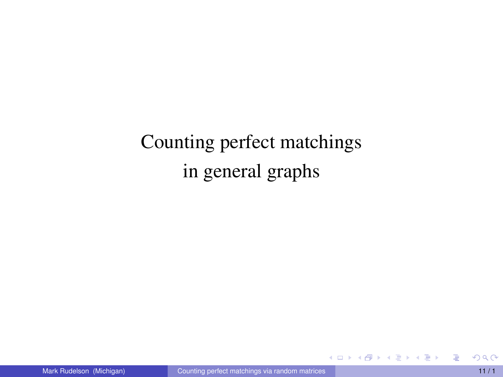Counting perfect matchings in general graphs

E

イロトメ 伊 トメ ミトメ ミト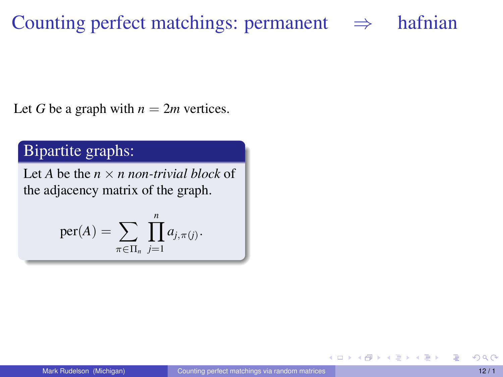# Counting perfect matchings: permanent  $\Rightarrow$  hafnian

Let *G* be a graph with  $n = 2m$  vertices.

#### Bipartite graphs:

Let *A* be the  $n \times n$  *non-trivial block* of the adjacency matrix of the graph.

$$
\mathrm{per}(A)=\sum_{\pi\in\Pi_n}\prod_{j=1}^n a_{j,\pi(j)}.
$$

4 0 8

一本 三 下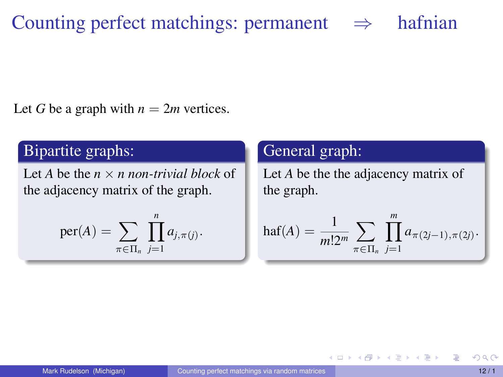# Counting perfect matchings: permanent  $\Rightarrow$  hafnian

Let *G* be a graph with  $n = 2m$  vertices.

#### Bipartite graphs:

Let *A* be the *n* × *n non-trivial block* of the adjacency matrix of the graph.

$$
\mathrm{per}(A) = \sum_{\pi \in \Pi_n} \prod_{j=1}^n a_{j,\pi(j)}.
$$

#### General graph:

Let *A* be the the adjacency matrix of the graph.

$$
\text{haf}(A) = \frac{1}{m!2^m} \sum_{\pi \in \Pi_n} \prod_{j=1}^m a_{\pi(2j-1), \pi(2j)}.
$$

イロト イ母ト イヨト イヨト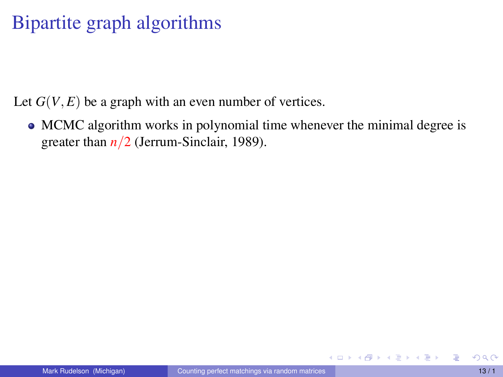# Bipartite graph algorithms

Let  $G(V, E)$  be a graph with an even number of vertices.

• MCMC algorithm works in polynomial time whenever the minimal degree is greater than  $n/2$  (Jerrum-Sinclair, 1989).

メロトメ 御 トメ ヨ トメ ヨ トー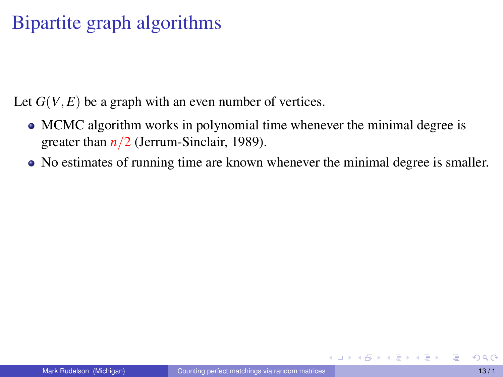Let  $G(V, E)$  be a graph with an even number of vertices.

- MCMC algorithm works in polynomial time whenever the minimal degree is greater than *n*/2 (Jerrum-Sinclair, 1989).
- No estimates of running time are known whenever the minimal degree is smaller.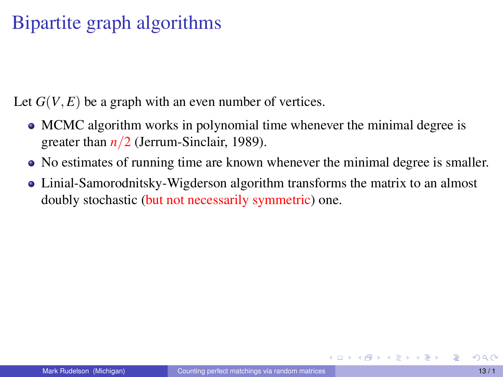Let  $G(V, E)$  be a graph with an even number of vertices.

- MCMC algorithm works in polynomial time whenever the minimal degree is greater than *n*/2 (Jerrum-Sinclair, 1989).
- No estimates of running time are known whenever the minimal degree is smaller.
- Linial-Samorodnitsky-Wigderson algorithm transforms the matrix to an almost doubly stochastic (but not necessarily symmetric) one.

イロト イ団 トイ ヨ トイ ヨ トー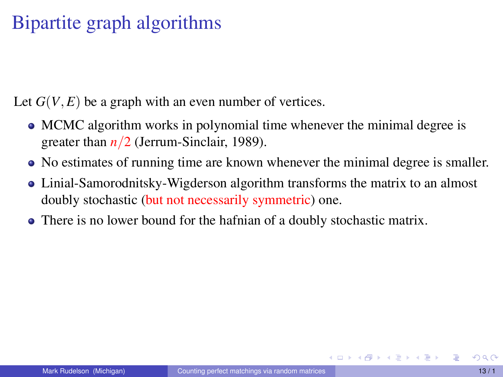Let  $G(V, E)$  be a graph with an even number of vertices.

- MCMC algorithm works in polynomial time whenever the minimal degree is greater than *n*/2 (Jerrum-Sinclair, 1989).
- No estimates of running time are known whenever the minimal degree is smaller.
- Linial-Samorodnitsky-Wigderson algorithm transforms the matrix to an almost doubly stochastic (but not necessarily symmetric) one.
- There is no lower bound for the hafnian of a doubly stochastic matrix.

イロメ イ母メ イヨメ イヨメーヨ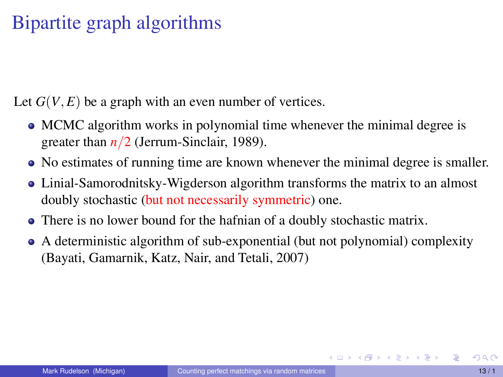Let  $G(V, E)$  be a graph with an even number of vertices.

- MCMC algorithm works in polynomial time whenever the minimal degree is greater than *n*/2 (Jerrum-Sinclair, 1989).
- No estimates of running time are known whenever the minimal degree is smaller.
- Linial-Samorodnitsky-Wigderson algorithm transforms the matrix to an almost doubly stochastic (but not necessarily symmetric) one.
- There is no lower bound for the hafnian of a doubly stochastic matrix.
- A deterministic algorithm of sub-exponential (but not polynomial) complexity (Bayati, Gamarnik, Katz, Nair, and Tetali, 2007)

イロメイタメイをメイをメーを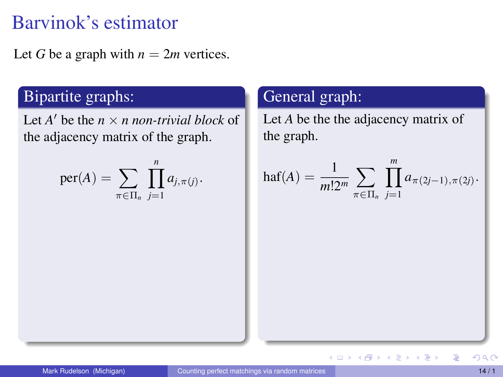Let *G* be a graph with  $n = 2m$  vertices.

### Bipartite graphs:

Let  $A'$  be the  $n \times n$  *non-trivial block* of the adjacency matrix of the graph.

$$
\mathrm{per}(A) = \sum_{\pi \in \Pi_n} \prod_{j=1}^n a_{j,\pi(j)}.
$$

#### General graph:

Let *A* be the the adjacency matrix of the graph.

$$
\operatorname{haf}(A) = \frac{1}{m!2^m} \sum_{\pi \in \Pi_n} \prod_{j=1}^m a_{\pi(2j-1), \pi(2j)}.
$$

 $A \cup B \cup A \cup B \cup A \cup B \cup A \cup B \cup A$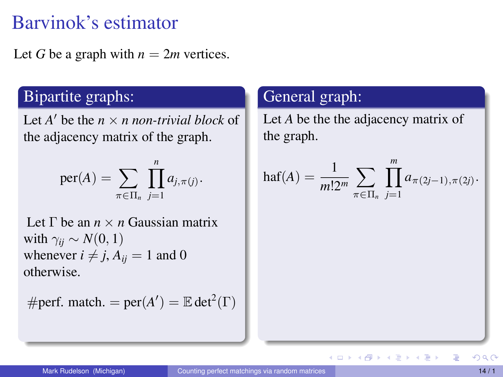Let *G* be a graph with  $n = 2m$  vertices.

### Bipartite graphs:

Let  $A'$  be the  $n \times n$  *non-trivial block* of the adjacency matrix of the graph.

$$
\mathrm{per}(A) = \sum_{\pi \in \Pi_n} \prod_{j=1}^n a_{j,\pi(j)}.
$$

Let Γ be an *n* × *n* Gaussian matrix with  $\gamma_{ii} \sim N(0, 1)$ whenever  $i \neq j$ ,  $A_{ij} = 1$  and 0 otherwise.

#perf. match. = 
$$
per(A') = \mathbb{E} det^2(\Gamma)
$$

#### General graph:

Let *A* be the the adjacency matrix of the graph.

$$
\operatorname{haf}(A) = \frac{1}{m!2^m} \sum_{\pi \in \Pi_n} \prod_{j=1}^m a_{\pi(2j-1), \pi(2j)}.
$$

イロト イタト イミト イミト

E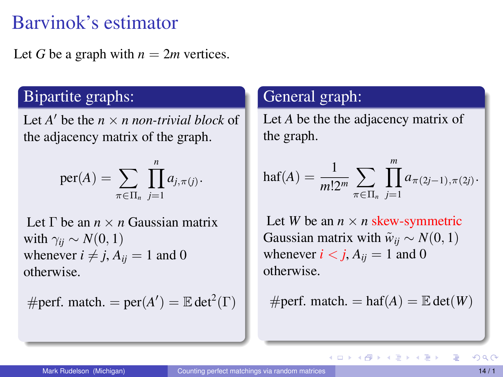Let *G* be a graph with  $n = 2m$  vertices.

### Bipartite graphs:

Let  $A'$  be the  $n \times n$  *non-trivial block* of the adjacency matrix of the graph.

$$
\mathrm{per}(A) = \sum_{\pi \in \Pi_n} \prod_{j=1}^n a_{j,\pi(j)}.
$$

Let Γ be an *n* × *n* Gaussian matrix with  $\gamma_{ii} \sim N(0, 1)$ whenever  $i \neq j$ ,  $A_{ij} = 1$  and 0 otherwise.

#perf. match. = 
$$
per(A') = \mathbb{E} det^2(\Gamma)
$$

#### General graph:

Let *A* be the the adjacency matrix of the graph.

$$
\operatorname{haf}(A) = \frac{1}{m!2^m} \sum_{\pi \in \Pi_n} \prod_{j=1}^m a_{\pi(2j-1), \pi(2j)}.
$$

Let *W* be an  $n \times n$  skew-symmetric Gaussian matrix with  $\tilde{w}_{ii} \sim N(0, 1)$ whenever  $i < j$ ,  $A_{ii} = 1$  and 0 otherwise.

 $\#$ perf. match. = haf(A) =  $\mathbb{E}$  det(W)

イロト イ母 トイヨ トイヨ ト

E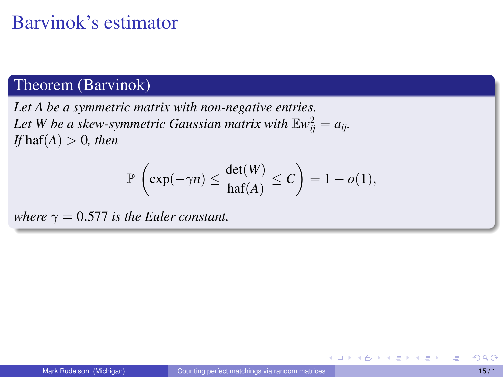### Theorem (Barvinok)

*Let A be a symmetric matrix with non-negative entries.* Let W be a skew-symmetric Gaussian matrix with  $\mathbb{E} w_{ij}^2 = a_{ij}$ . *If*  $haf(A) > 0$ *, then* 

$$
\mathbb{P}\left(\exp(-\gamma n) \leq \frac{\det(W)}{\text{haf}(A)} \leq C\right) = 1 - o(1),
$$

*where*  $\gamma = 0.577$  *is the Euler constant.* 

∢ □ ▶ ∢ *□*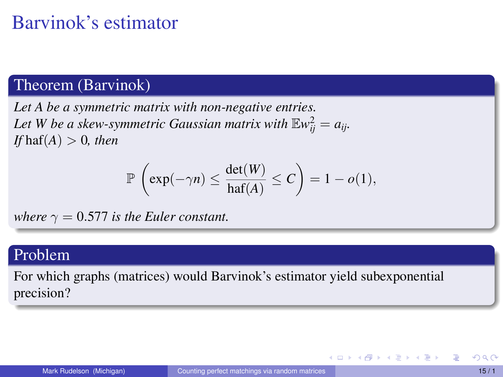### Theorem (Barvinok)

*Let A be a symmetric matrix with non-negative entries.* Let W be a skew-symmetric Gaussian matrix with  $\mathbb{E} w_{ij}^2 = a_{ij}$ . *If* haf $(A) > 0$ *, then* 

$$
\mathbb{P}\left(\exp(-\gamma n) \leq \frac{\det(W)}{\text{haf}(A)} \leq C\right) = 1 - o(1),
$$

*where*  $\gamma = 0.577$  *is the Euler constant.* 

#### Problem

For which graphs (matrices) would Barvinok's estimator yield subexponential precision?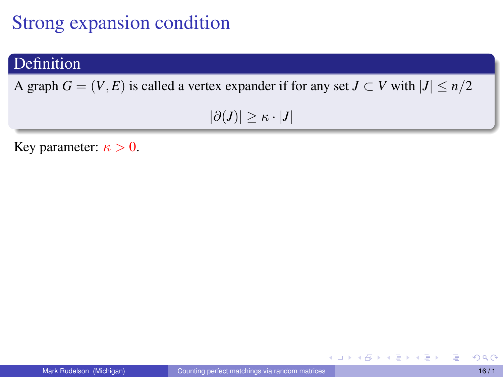## Strong expansion condition

#### Definition

A graph  $G = (V, E)$  is called a vertex expander if for any set  $J \subset V$  with  $|J| \leq n/2$ 

 $|\partial(J)| \geq \kappa \cdot |J|$ 

Key parameter:  $\kappa > 0$ .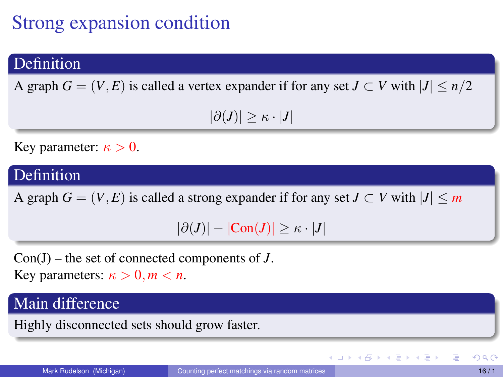# Strong expansion condition

#### Definition

A graph  $G = (V, E)$  is called a vertex expander if for any set  $J \subset V$  with  $|J| \le n/2$ 

 $|\partial(J)| > \kappa \cdot |J|$ 

Key parameter:  $\kappa > 0$ .

#### Definition

A graph  $G = (V, E)$  is called a strong expander if for any set  $J \subset V$  with  $|J| \le m$ 

 $|\partial(J)| - |\text{Con}(J)| \geq \kappa \cdot |J|$ 

Con(J) – the set of connected components of *J*. Key parameters:  $\kappa > 0, m < n$ .

#### Main difference

Highly disconnected sets should grow faster.

イロト イ母 トイヨ トイヨ ト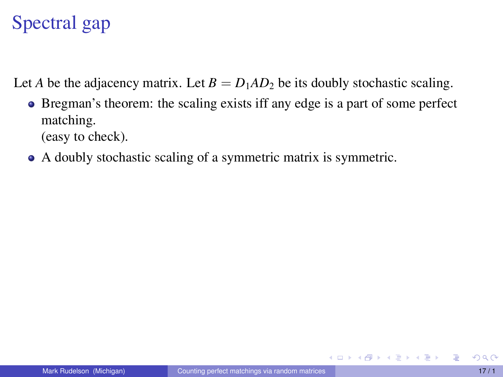# Spectral gap

Let *A* be the adjacency matrix. Let  $B = D_1 A D_2$  be its doubly stochastic scaling.

- Bregman's theorem: the scaling exists iff any edge is a part of some perfect matching. (easy to check).
- A doubly stochastic scaling of a symmetric matrix is symmetric.

イロト イ母 トイヨ トイヨ トー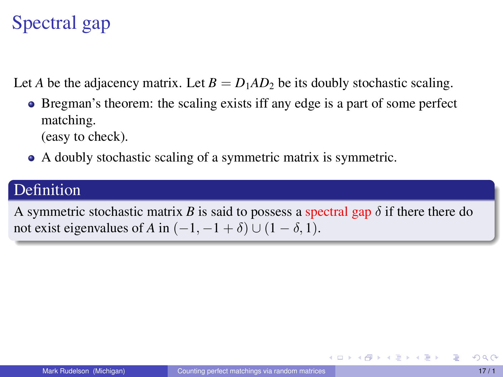# Spectral gap

Let *A* be the adjacency matrix. Let  $B = D_1 A D_2$  be its doubly stochastic scaling.

- Bregman's theorem: the scaling exists iff any edge is a part of some perfect matching. (easy to check).
- A doubly stochastic scaling of a symmetric matrix is symmetric.

### Definition

A symmetric stochastic matrix *B* is said to possess a spectral gap  $\delta$  if there there do not exist eigenvalues of *A* in  $(-1, -1 + \delta) \cup (1 - \delta, 1)$ .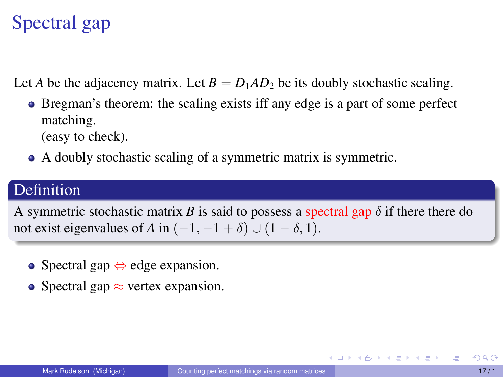# Spectral gap

Let *A* be the adjacency matrix. Let  $B = D_1 A D_2$  be its doubly stochastic scaling.

- Bregman's theorem: the scaling exists iff any edge is a part of some perfect matching. (easy to check).
- A doubly stochastic scaling of a symmetric matrix is symmetric.

### Definition

A symmetric stochastic matrix *B* is said to possess a spectral gap  $\delta$  if there there do not exist eigenvalues of *A* in  $(-1, -1 + \delta) \cup (1 - \delta, 1)$ .

- Spectral gap  $\Leftrightarrow$  edge expansion.
- Spectral gap  $\approx$  vertex expansion.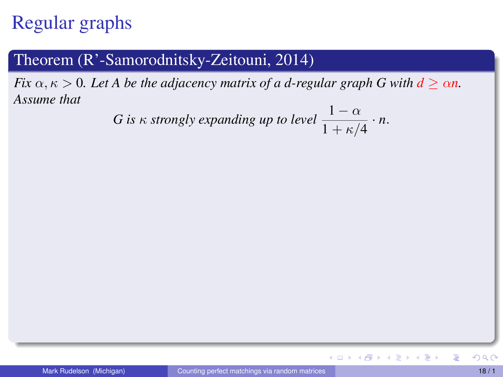## Regular graphs

#### Theorem (R'-Samorodnitsky-Zeitouni, 2014)

*Fix*  $\alpha, \kappa > 0$ *. Let* A be the adjacency matrix of a d-regular graph G with  $d \ge \alpha n$ *. Assume that*

*G* is 
$$
\kappa
$$
 strongly expanding up to level  $\frac{1-\alpha}{1+\kappa/4} \cdot n$ .

 $\equiv$ 

イロト イタト イミト イミト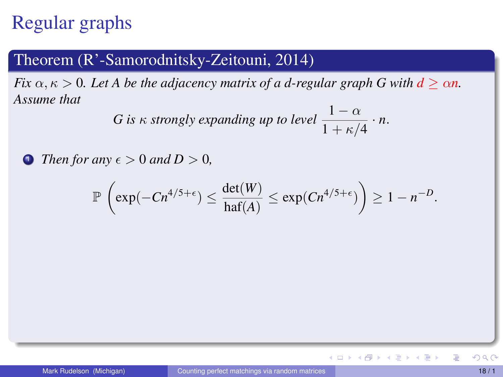## Regular graphs

#### Theorem (R'-Samorodnitsky-Zeitouni, 2014)

*Fix*  $\alpha, \kappa > 0$ *. Let* A be the adjacency matrix of a d-regular graph G with  $d > \alpha n$ . *Assume that*

*G* is 
$$
\kappa
$$
 strongly expanding up to level  $\frac{1-\alpha}{1+\kappa/4} \cdot n$ .

**1** *Then for any*  $\epsilon > 0$  *and*  $D > 0$ *,* 

$$
\mathbb{P}\left(\exp(-Cn^{4/5+\epsilon}) \leq \frac{\det(W)}{\mathrm{haf}(A)} \leq \exp(Cn^{4/5+\epsilon})\right) \geq 1-n^{-D}.
$$

 $\equiv$ 

イロト イ部 トイミト イミト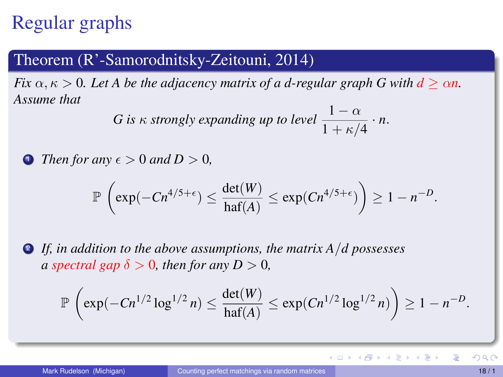## Regular graphs

#### Theorem (R'-Samorodnitsky-Zeitouni, 2014)

*Fix*  $\alpha, \kappa > 0$ *. Let* A be the adjacency matrix of a d-regular graph G with  $d > \alpha n$ . *Assume that*

*G* is 
$$
\kappa
$$
 strongly expanding up to level  $\frac{1-\alpha}{1+\kappa/4} \cdot n$ .

**1** *Then for any*  $\epsilon > 0$  *and*  $D > 0$ *,* 

$$
\mathbb{P}\left(\exp(-Cn^{4/5+\epsilon}) \leq \frac{\det(W)}{\mathrm{haf}(A)} \leq \exp(Cn^{4/5+\epsilon})\right) \geq 1-n^{-D}.
$$

<sup>2</sup> *If, in addition to the above assumptions, the matrix A*/*d possesses a spectral gap*  $\delta > 0$ *, then for any*  $D > 0$ *,* 

$$
\mathbb{P}\left(\exp(-Cn^{1/2}\log^{1/2} n) \leq \frac{\det(W)}{\mathrm{haf}(A)} \leq \exp(Cn^{1/2}\log^{1/2} n)\right) \geq 1 - n^{-D}.
$$

重

イロトメ 伊 トメ ミトメ ミト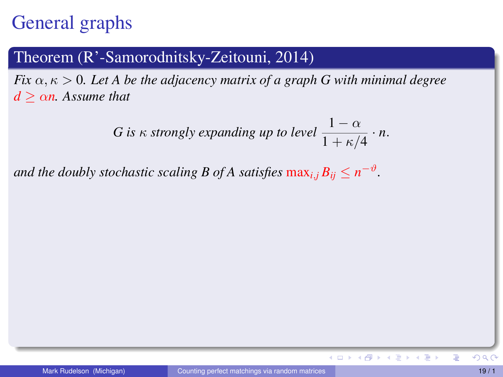## General graphs

#### Theorem (R'-Samorodnitsky-Zeitouni, 2014)

*Fix*  $\alpha, \kappa > 0$ *. Let A be the adjacency matrix of a graph G with minimal degree*  $d > \alpha n$ . Assume that

*G* is 
$$
\kappa
$$
 strongly expanding up to level  $\frac{1-\alpha}{1+\kappa/4} \cdot n$ .

*and the doubly stochastic scaling B of A satisfies*  $\max_{i,j} B_{ij} \leq n^{-\vartheta}$ .

イロト イ母 トイヨ トイヨト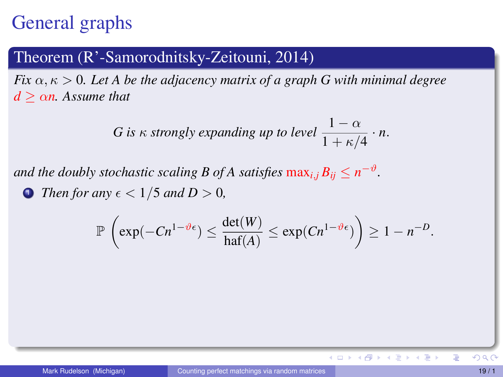## General graphs

#### Theorem (R'-Samorodnitsky-Zeitouni, 2014)

*Fix*  $\alpha, \kappa > 0$ *. Let A be the adjacency matrix of a graph G with minimal degree*  $d > \alpha n$ . Assume that

*G* is 
$$
\kappa
$$
 strongly expanding up to level  $\frac{1-\alpha}{1+\kappa/4} \cdot n$ .

*and the doubly stochastic scaling B of A satisfies*  $\max_{i,j} B_{ij} \leq n^{-\vartheta}$ .

**1** Then for any  $\epsilon < 1/5$  and  $D > 0$ ,

$$
\mathbb{P}\left(\exp(-Cn^{1-\vartheta\epsilon})\leq \frac{\det(W)}{\mathrm{haf}(A)}\leq \exp(Cn^{1-\vartheta\epsilon})\right)\geq 1-n^{-D}.
$$

イロト イ母 トイヨ トイヨト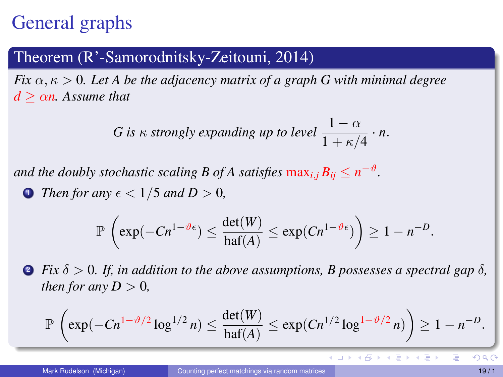## General graphs

#### Theorem (R'-Samorodnitsky-Zeitouni, 2014)

*Fix*  $\alpha, \kappa > 0$ . Let A be the adjacency matrix of a graph G with minimal degree  $d > \alpha n$ . Assume that

*G* is 
$$
\kappa
$$
 strongly expanding up to level  $\frac{1-\alpha}{1+\kappa/4} \cdot n$ .

*and the doubly stochastic scaling B of A satisfies*  $\max_{i,j} B_{ij} \leq n^{-\vartheta}$ .

**1** Then for any  $\epsilon < 1/5$  and  $D > 0$ ,

$$
\mathbb{P}\left(\exp(-Cn^{1-\vartheta\epsilon})\leq \frac{\det(W)}{\mathrm{haf}(A)}\leq \exp(Cn^{1-\vartheta\epsilon})\right)\geq 1-n^{-D}.
$$

**2** *Fix*  $\delta > 0$ *. If, in addition to the above assumptions, B possesses a spectral gap*  $\delta$ *, then for any*  $D > 0$ ,

$$
\mathbb{P}\left(\exp(-Cn^{1-\vartheta/2}\log^{1/2} n) \leq \frac{\det(W)}{\text{haf}(A)} \leq \exp(Cn^{1/2}\log^{1-\vartheta/2} n)\right) \geq 1 - n^{-D}.
$$

**K ロ ▶ K 御 ▶ K 唐 ▶** 

 $\leftarrow \equiv +$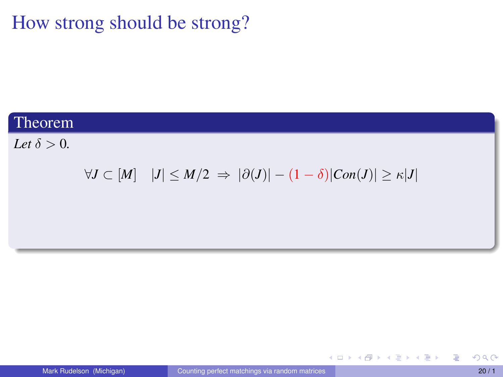#### Theorem

*Let*  $\delta > 0$ *.* 

### $\forall J \subset [M]$   $|J| \leq M/2$  ⇒  $|\partial(J)| - (1 - \delta)|Con(J)| \geq \kappa |J|$

重

メロトメ 御 トメ 君 トメ 君 トー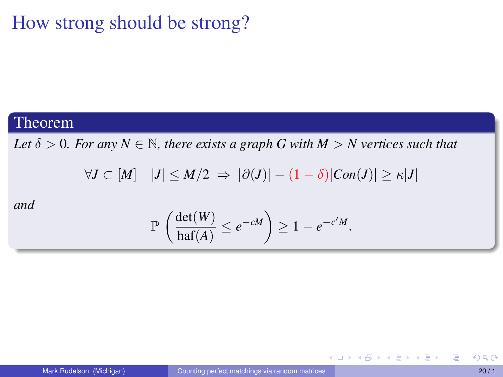#### Theorem

*Let*  $\delta > 0$ *. For any*  $N \in \mathbb{N}$ *, there exists a graph G with*  $M > N$  *vertices such that* 

$$
\forall J \subset [M] \quad |J| \le M/2 \ \Rightarrow \ |\partial(J)| - (1 - \delta)|Con(J)| \ge \kappa|J|
$$

*and*

$$
\mathbb{P}\left(\frac{\det(W)}{\text{haf}(A)} \leq e^{-cM}\right) \geq 1 - e^{-c'M}.
$$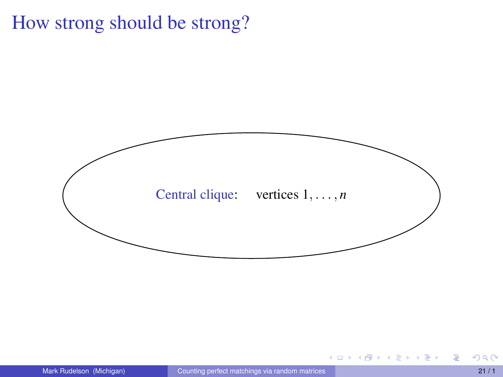

**K ロ ト K 母 ト K ミ ト** 

不重 的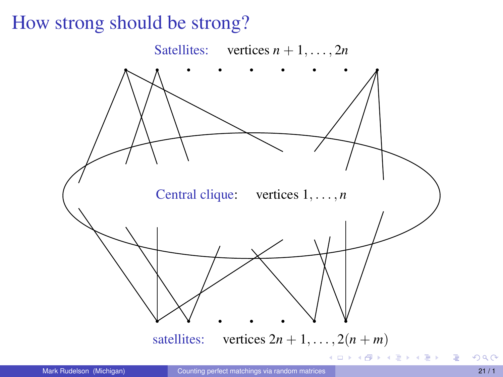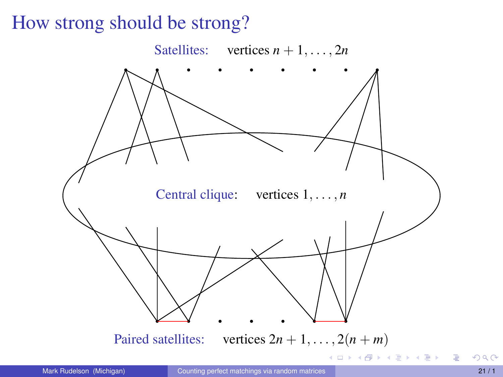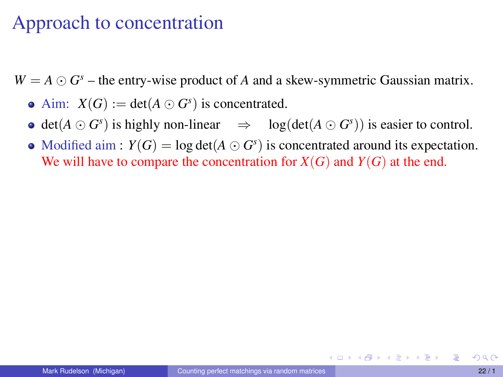### Approach to concentration

 $W = A \odot G<sup>s</sup>$  – the entry-wise product of *A* and a skew-symmetric Gaussian matrix.

- Aim:  $X(G) := \det(A \odot G^s)$  is concentrated.
- $\det(A \odot G^s)$  is highly non-linear  $\Rightarrow$   $\log(\det(A \odot G^s))$  is easier to control.
- Modified aim :  $Y(G) = \log \det(A \odot G^s)$  is concentrated around its expectation. We will have to compare the concentration for  $X(G)$  and  $Y(G)$  at the end.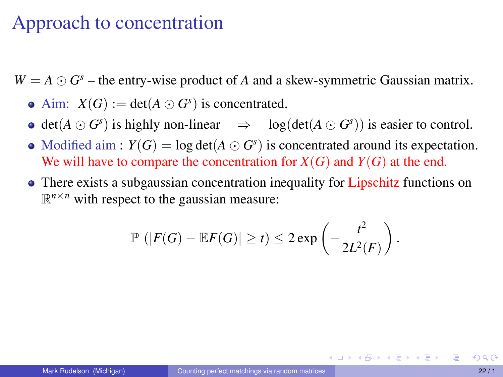### Approach to concentration

 $W = A \odot G<sup>s</sup>$  – the entry-wise product of *A* and a skew-symmetric Gaussian matrix.

- Aim:  $X(G) := \det(A \odot G^s)$  is concentrated.
- $\det(A \odot G^s)$  is highly non-linear  $\Rightarrow$   $\log(\det(A \odot G^s))$  is easier to control.
- Modified aim :  $Y(G) = \log \det(A \odot G^s)$  is concentrated around its expectation. We will have to compare the concentration for  $X(G)$  and  $Y(G)$  at the end.
- There exists a subgaussian concentration inequality for Lipschitz functions on  $\mathbb{R}^{n \times n}$  with respect to the gaussian measure:

$$
\mathbb{P}\left(|F(G) - \mathbb{E}F(G)| \geq t\right) \leq 2\exp\left(-\frac{t^2}{2L^2(F)}\right).
$$

イロトス 倒 トス ミトス ミトー ミ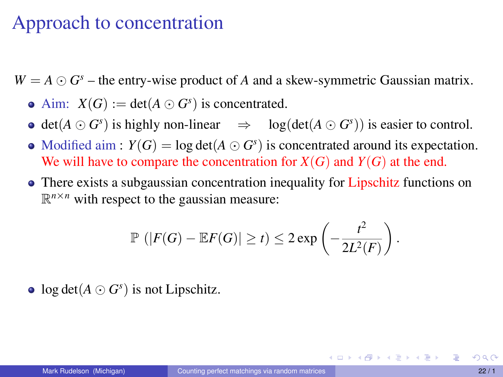### Approach to concentration

 $W = A \odot G<sup>s</sup>$  – the entry-wise product of *A* and a skew-symmetric Gaussian matrix.

- Aim:  $X(G) := \det(A \odot G^s)$  is concentrated.
- $\det(A \odot G^s)$  is highly non-linear  $\Rightarrow$   $\log(\det(A \odot G^s))$  is easier to control.
- Modified aim :  $Y(G) = \log \det(A \odot G^s)$  is concentrated around its expectation. We will have to compare the concentration for  $X(G)$  and  $Y(G)$  at the end.
- There exists a subgaussian concentration inequality for Lipschitz functions on  $\mathbb{R}^{n \times n}$  with respect to the gaussian measure:

$$
\mathbb{P}\left(|F(G) - \mathbb{E}F(G)| \geq t\right) \leq 2\exp\left(-\frac{t^2}{2L^2(F)}\right).
$$

 $log det(A \odot G<sup>s</sup>)$  is not Lipschitz.

イロトス 倒 トス ミトス ミトー ミ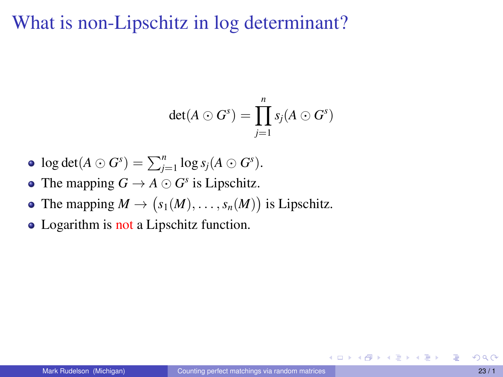What is non-Lipschitz in log determinant?

$$
\det(A \odot G^s) = \prod_{j=1}^n s_j(A \odot G^s)
$$

- $\log \det(A \odot G^s) = \sum_{j=1}^n \log s_j(A \odot G^s).$
- The mapping  $G \to A \odot G^s$  is Lipschitz.
- The mapping  $M \to (s_1(M), \ldots, s_n(M))$  is Lipschitz.
- Logarithm is not a Lipschitz function.

メロトメ 御 トメ ヨ トメ ヨ トー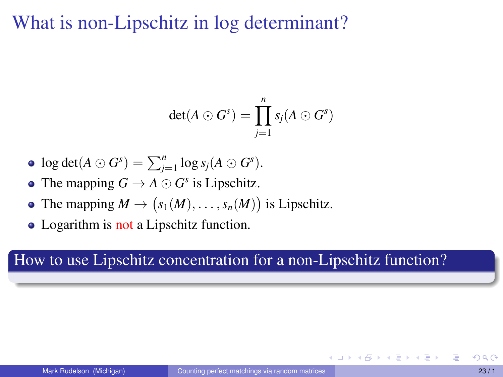What is non-Lipschitz in log determinant?

$$
\det(A \odot G^s) = \prod_{j=1}^n s_j(A \odot G^s)
$$

- $\log \det(A \odot G^s) = \sum_{j=1}^n \log s_j(A \odot G^s).$
- The mapping  $G \to A \odot G^s$  is Lipschitz.
- The mapping  $M \to (s_1(M), \ldots, s_n(M))$  is Lipschitz.
- Logarithm is not a Lipschitz function.

#### How to use Lipschitz concentration for a non-Lipschitz function?

イロト イ母ト イヨト イヨト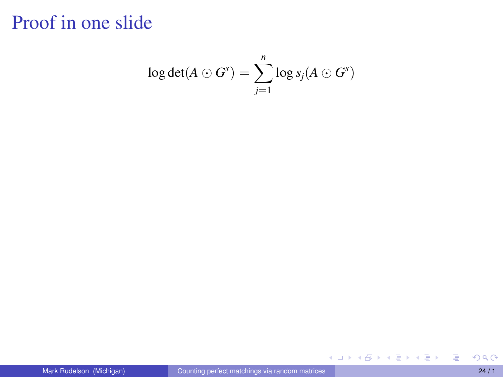$$
\log \det(A \odot G^s) = \sum_{j=1}^n \log s_j(A \odot G^s)
$$

重

メロトメ還トメ選トメ選ト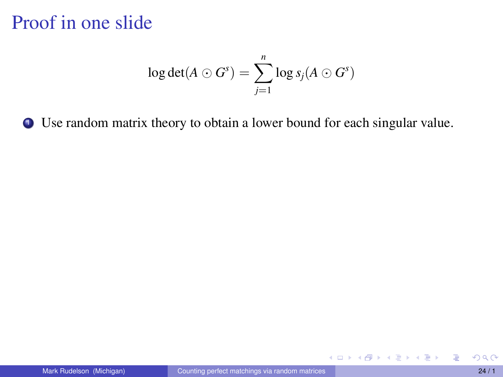$$
\log \det(A \odot G^s) = \sum_{j=1}^n \log s_j(A \odot G^s)
$$

<sup>1</sup> Use random matrix theory to obtain a lower bound for each singular value.

重

イロトス 伊 トス ミトス ミトー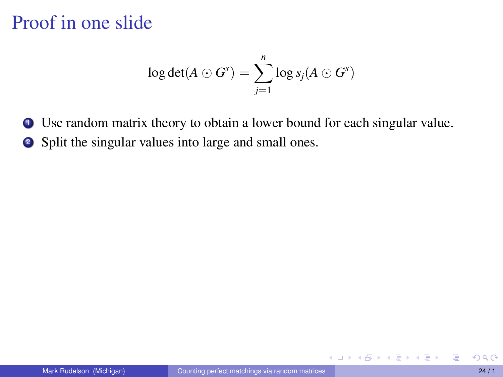$$
\log \det(A \odot G^s) = \sum_{j=1}^n \log s_j(A \odot G^s)
$$

<sup>1</sup> Use random matrix theory to obtain a lower bound for each singular value.

<sup>2</sup> Split the singular values into large and small ones.

イロト (御) (き) (き)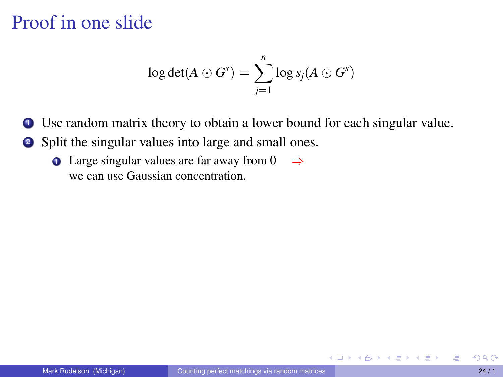$$
\log \det(A \odot G^s) = \sum_{j=1}^n \log s_j(A \odot G^s)
$$

<sup>1</sup> Use random matrix theory to obtain a lower bound for each singular value.

- <sup>2</sup> Split the singular values into large and small ones.
	- **1** Large singular values are far away from 0  $\Rightarrow$ we can use Gaussian concentration.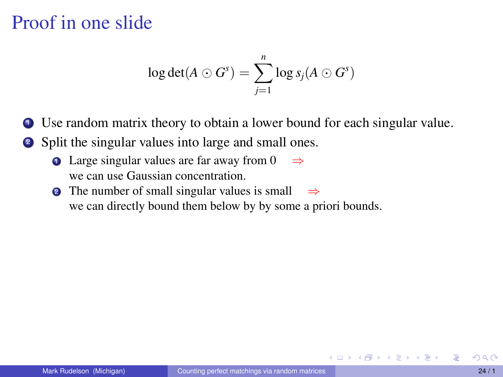$$
\log \det(A \odot G^s) = \sum_{j=1}^n \log s_j(A \odot G^s)
$$

**1** Use random matrix theory to obtain a lower bound for each singular value.

- <sup>2</sup> Split the singular values into large and small ones.
	- **1** Large singular values are far away from 0  $\Rightarrow$ we can use Gaussian concentration.
	- **2** The number of small singular values is small  $\Rightarrow$ we can directly bound them below by by some a priori bounds.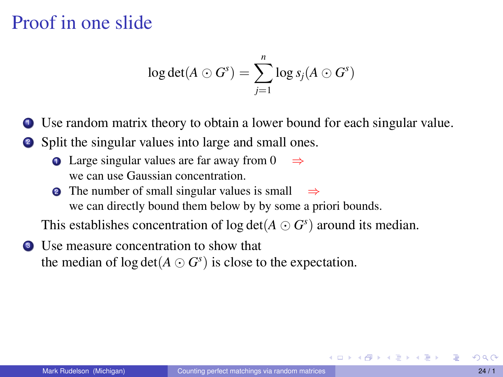$$
\log \det(A \odot G^s) = \sum_{j=1}^n \log s_j(A \odot G^s)
$$

**1** Use random matrix theory to obtain a lower bound for each singular value.

- <sup>2</sup> Split the singular values into large and small ones.
	- **1** Large singular values are far away from 0  $\Rightarrow$ we can use Gaussian concentration.
	- The number of small singular values is small  $\Rightarrow$ we can directly bound them below by by some a priori bounds.

This establishes concentration of  $\log \det(A \odot G^s)$  around its median.

<sup>3</sup> Use measure concentration to show that the median of  $\log \det(A \odot G^s)$  is close to the expectation.